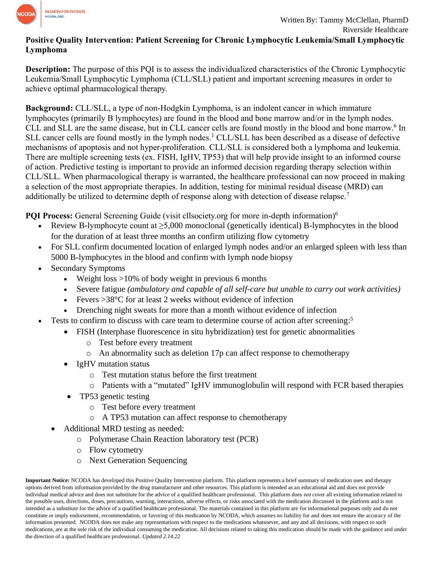

## **Positive Quality Intervention: Patient Screening for Chronic Lymphocytic Leukemia/Small Lymphocytic Lymphoma**

**Description:** The purpose of this PQI is to assess the individualized characteristics of the Chronic Lymphocytic Leukemia/Small Lymphocytic Lymphoma (CLL/SLL) patient and important screening measures in order to achieve optimal pharmacological therapy.

**Background:** CLL/SLL, a type of non-Hodgkin Lymphoma, is an indolent cancer in which immature lymphocytes (primarily B lymphocytes) are found in the blood and bone marrow and/or in the lymph nodes. CLL and SLL are the same disease, but in CLL cancer cells are found mostly in the blood and bone marrow. 6 In SLL cancer cells are found mostly in the lymph nodes.<sup>1</sup> CLL/SLL has been described as a disease of defective mechanisms of apoptosis and not hyper-proliferation. CLL/SLL is considered both a lymphoma and leukemia. There are multiple screening tests (ex. FISH, IgHV, TP53) that will help provide insight to an informed course of action. Predictive testing is important to provide an informed decision regarding therapy selection within CLL/SLL. When pharmacological therapy is warranted, the healthcare professional can now proceed in making a selection of the most appropriate therapies. In addition, testing for minimal residual disease (MRD) can additionally be utilized to determine depth of response along with detection of disease relapse.<sup>7</sup>

**POI Process:** General Screening Guide (visit cllsociety.org for more in-depth information)<sup>6</sup>

- Review B-lymphocyte count at  $\geq$ 5,000 monoclonal (genetically identical) B-lymphocytes in the blood for the duration of at least three months an confirm utilizing flow cytometry
- For SLL confirm documented location of enlarged lymph nodes and/or an enlarged spleen with less than 5000 B-lymphocytes in the blood and confirm with lymph node biopsy
- Secondary Symptoms
	- Weight loss  $>10\%$  of body weight in previous 6 months
	- Severe fatigue *(ambulatory and capable of all self-care but unable to carry out work activities)*
	- Fevers  $>38^{\circ}$ C for at least 2 weeks without evidence of infection
	- Drenching night sweats for more than a month without evidence of infection
- Tests to confirm to discuss with care team to determine course of action after screening:<sup>5</sup>
	- FISH (Interphase fluorescence in situ hybridization) test for genetic abnormalities
		- o Test before every treatment
		- o An abnormality such as deletion 17p can affect response to chemotherapy
	- IgHV mutation status
		- o Test mutation status before the first treatment
		- o Patients with a "mutated" IgHV immunoglobulin will respond with FCR based therapies
	- TP53 genetic testing
		- o Test before every treatment
		- o A TP53 mutation can affect response to chemotherapy
	- Additional MRD testing as needed:
		- o Polymerase Chain Reaction laboratory test (PCR)
		- o Flow cytometry
		- o Next Generation Sequencing

**Important Notice:** NCODA has developed this Positive Quality Intervention platform. This platform represents a brief summary of medication uses and therapy options derived from information provided by the drug manufacturer and other resources. This platform is intended as an educational aid and does not provide individual medical advice and does not substitute for the advice of a qualified healthcare professional. This platform does not cover all existing information related to the possible uses, directions, doses, precautions, warning, interactions, adverse effects, or risks associated with the medication discussed in the platform and is not intended as a substitute for the advice of a qualified healthcare professional. The materials contained in this platform are for informational purposes only and do not constitute or imply endorsement, recommendation, or favoring of this medication by NCODA, which assumes no liability for and does not ensure the accuracy of the information presented. NCODA does not make any representations with respect to the medications whatsoever, and any and all decisions, with respect to such medications, are at the sole risk of the individual consuming the medication. All decisions related to taking this medication should be made with the guidance and under the direction of a qualified healthcare professional. *Updated 2.14.22*